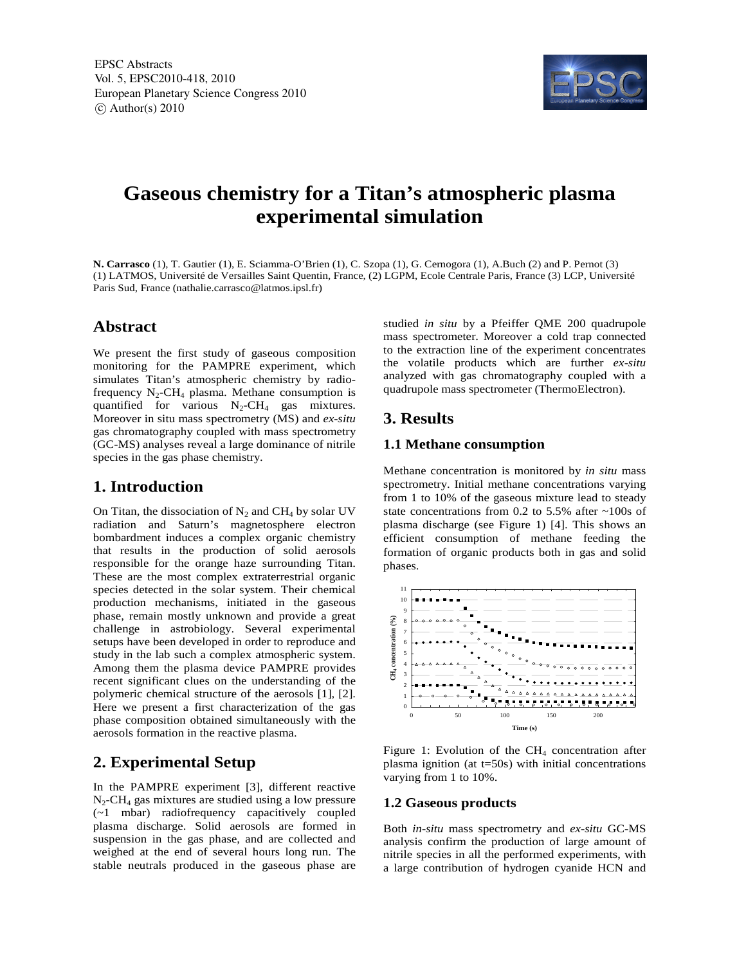

# **Gaseous chemistry for a Titan's atmospheric plasma experimental simulation**

**N. Carrasco** (1), T. Gautier (1), E. Sciamma-O'Brien (1), C. Szopa (1), G. Cernogora (1), A.Buch (2) and P. Pernot (3) (1) LATMOS, Université de Versailles Saint Quentin, France, (2) LGPM, Ecole Centrale Paris, France (3) LCP, Université Paris Sud, France (nathalie.carrasco@latmos.ipsl.fr)

#### **Abstract**

We present the first study of gaseous composition monitoring for the PAMPRE experiment, which simulates Titan's atmospheric chemistry by radiofrequency  $N_2$ -CH<sub>4</sub> plasma. Methane consumption is quantified for various  $N_2$ -CH<sub>4</sub> gas mixtures. Moreover in situ mass spectrometry (MS) and *ex-situ* gas chromatography coupled with mass spectrometry (GC-MS) analyses reveal a large dominance of nitrile species in the gas phase chemistry.

#### **1. Introduction**

On Titan, the dissociation of  $N_2$  and CH<sub>4</sub> by solar UV radiation and Saturn's magnetosphere electron bombardment induces a complex organic chemistry that results in the production of solid aerosols responsible for the orange haze surrounding Titan. These are the most complex extraterrestrial organic species detected in the solar system. Their chemical production mechanisms, initiated in the gaseous phase, remain mostly unknown and provide a great challenge in astrobiology. Several experimental setups have been developed in order to reproduce and study in the lab such a complex atmospheric system. Among them the plasma device PAMPRE provides recent significant clues on the understanding of the polymeric chemical structure of the aerosols [1], [2]. Here we present a first characterization of the gas phase composition obtained simultaneously with the aerosols formation in the reactive plasma.

## **2. Experimental Setup**

In the PAMPRE experiment [3], different reactive  $N_2$ -CH<sub>4</sub> gas mixtures are studied using a low pressure (~1 mbar) radiofrequency capacitively coupled plasma discharge. Solid aerosols are formed in suspension in the gas phase, and are collected and weighed at the end of several hours long run. The stable neutrals produced in the gaseous phase are

studied *in situ* by a Pfeiffer QME 200 quadrupole mass spectrometer. Moreover a cold trap connected to the extraction line of the experiment concentrates the volatile products which are further *ex-situ* analyzed with gas chromatography coupled with a quadrupole mass spectrometer (ThermoElectron).

## **3. Results**

#### **1.1 Methane consumption**

Methane concentration is monitored by *in situ* mass spectrometry. Initial methane concentrations varying from 1 to 10% of the gaseous mixture lead to steady state concentrations from 0.2 to 5.5% after ~100s of plasma discharge (see Figure 1) [4]. This shows an efficient consumption of methane feeding the formation of organic products both in gas and solid phases.



Figure 1: Evolution of the  $CH_4$  concentration after plasma ignition (at  $t=50$ s) with initial concentrations varying from 1 to 10%.

#### **1.2 Gaseous products**

Both *in-situ* mass spectrometry and *ex-situ* GC-MS analysis confirm the production of large amount of nitrile species in all the performed experiments, with a large contribution of hydrogen cyanide HCN and